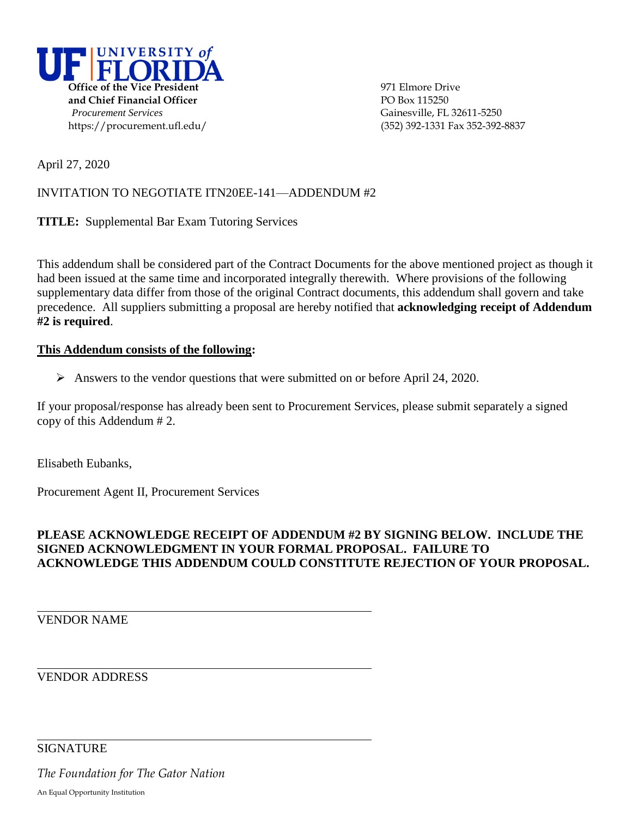

April 27, 2020

# INVITATION TO NEGOTIATE ITN20EE-141—ADDENDUM #2

**TITLE:** Supplemental Bar Exam Tutoring Services

This addendum shall be considered part of the Contract Documents for the above mentioned project as though it had been issued at the same time and incorporated integrally therewith. Where provisions of the following supplementary data differ from those of the original Contract documents, this addendum shall govern and take precedence. All suppliers submitting a proposal are hereby notified that **acknowledging receipt of Addendum #2 is required**.

#### **This Addendum consists of the following:**

Answers to the vendor questions that were submitted on or before April 24, 2020.

If your proposal/response has already been sent to Procurement Services, please submit separately a signed copy of this Addendum # 2.

Elisabeth Eubanks,

Procurement Agent II, Procurement Services

### **PLEASE ACKNOWLEDGE RECEIPT OF ADDENDUM #2 BY SIGNING BELOW. INCLUDE THE SIGNED ACKNOWLEDGMENT IN YOUR FORMAL PROPOSAL. FAILURE TO ACKNOWLEDGE THIS ADDENDUM COULD CONSTITUTE REJECTION OF YOUR PROPOSAL.**

## VENDOR NAME

VENDOR ADDRESS

SIGNATURE

*The Foundation for The Gator Nation*